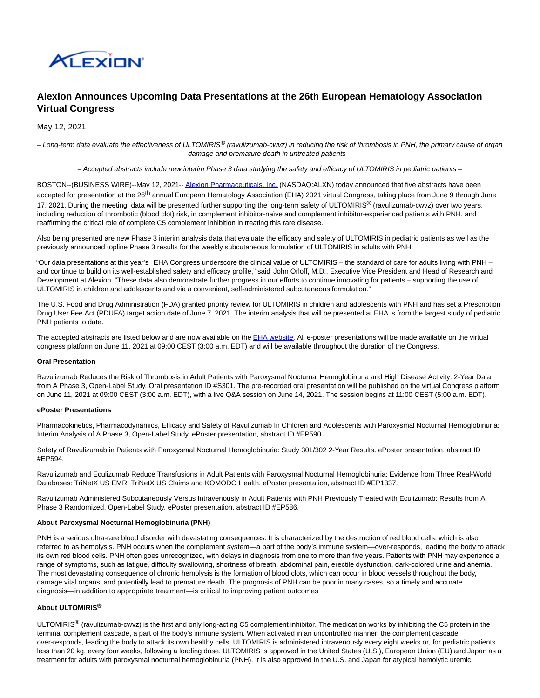

# **Alexion Announces Upcoming Data Presentations at the 26th European Hematology Association Virtual Congress**

May 12, 2021

– Long-term data evaluate the effectiveness of ULTOMIRIS® (ravulizumab-cwvz) in reducing the risk of thrombosis in PNH, the primary cause of organ damage and premature death in untreated patients –

– Accepted abstracts include new interim Phase 3 data studying the safety and efficacy of ULTOMIRIS in pediatric patients –

BOSTON--(BUSINESS WIRE)--May 12, 2021-[- Alexion Pharmaceuticals, Inc. \(](https://cts.businesswire.com/ct/CT?id=smartlink&url=http%3A%2F%2Fwww.alexion.com%2F&esheet=52427510&newsitemid=20210512005957&lan=en-US&anchor=Alexion+Pharmaceuticals%2C+Inc.&index=1&md5=f9ac6c3ba590c7493c46308edde43aa1)NASDAQ:ALXN) today announced that five abstracts have been accepted for presentation at the 26<sup>th</sup> annual European Hematology Association (EHA) 2021 virtual Congress, taking place from June 9 through June 17, 2021. During the meeting, data will be presented further supporting the long-term safety of ULTOMIRIS<sup>®</sup> (ravulizumab-cwvz) over two years, including reduction of thrombotic (blood clot) risk, in complement inhibitor-naïve and complement inhibitor-experienced patients with PNH, and reaffirming the critical role of complete C5 complement inhibition in treating this rare disease.

Also being presented are new Phase 3 interim analysis data that evaluate the efficacy and safety of ULTOMIRIS in pediatric patients as well as the previously announced topline Phase 3 results for the weekly subcutaneous formulation of ULTOMIRIS in adults with PNH.

"Our data presentations at this year's EHA Congress underscore the clinical value of ULTOMIRIS – the standard of care for adults living with PNH – and continue to build on its well-established safety and efficacy profile," said John Orloff, M.D., Executive Vice President and Head of Research and Development at Alexion. "These data also demonstrate further progress in our efforts to continue innovating for patients – supporting the use of ULTOMIRIS in children and adolescents and via a convenient, self-administered subcutaneous formulation."

The U.S. Food and Drug Administration (FDA) granted priority review for ULTOMIRIS in children and adolescents with PNH and has set a Prescription Drug User Fee Act (PDUFA) target action date of June 7, 2021. The interim analysis that will be presented at EHA is from the largest study of pediatric PNH patients to date.

The accepted abstracts are listed below and are now available on th[e EHA website.](https://cts.businesswire.com/ct/CT?id=smartlink&url=https%3A%2F%2Flibrary.ehaweb.org%2Feha%2F%23%21*menu%3D6*browseby%3D3*sortby%3D2*ce_id%3D2035*featured%3D17286&esheet=52427510&newsitemid=20210512005957&lan=en-US&anchor=EHA+website&index=2&md5=0f80e8b59b554febc40e6689d717216c) All e-poster presentations will be made available on the virtual congress platform on June 11, 2021 at 09:00 CEST (3:00 a.m. EDT) and will be available throughout the duration of the Congress.

#### **Oral Presentation**

Ravulizumab Reduces the Risk of Thrombosis in Adult Patients with Paroxysmal Nocturnal Hemoglobinuria and High Disease Activity: 2-Year Data from A Phase 3, Open-Label Study. Oral presentation ID #S301. The pre-recorded oral presentation will be published on the virtual Congress platform on June 11, 2021 at 09:00 CEST (3:00 a.m. EDT), with a live Q&A session on June 14, 2021. The session begins at 11:00 CEST (5:00 a.m. EDT).

#### **ePoster Presentations**

Pharmacokinetics, Pharmacodynamics, Efficacy and Safety of Ravulizumab In Children and Adolescents with Paroxysmal Nocturnal Hemoglobinuria: Interim Analysis of A Phase 3, Open-Label Study. ePoster presentation, abstract ID #EP590.

Safety of Ravulizumab in Patients with Paroxysmal Nocturnal Hemoglobinuria: Study 301/302 2-Year Results. ePoster presentation, abstract ID #EP594.

Ravulizumab and Eculizumab Reduce Transfusions in Adult Patients with Paroxysmal Nocturnal Hemoglobinuria: Evidence from Three Real-World Databases: TriNetX US EMR, TriNetX US Claims and KOMODO Health. ePoster presentation, abstract ID #EP1337.

Ravulizumab Administered Subcutaneously Versus Intravenously in Adult Patients with PNH Previously Treated with Eculizumab: Results from A Phase 3 Randomized, Open-Label Study. ePoster presentation, abstract ID #EP586.

#### **About Paroxysmal Nocturnal Hemoglobinuria (PNH)**

PNH is a serious ultra-rare blood disorder with devastating consequences. It is characterized by the destruction of red blood cells, which is also referred to as hemolysis. PNH occurs when the complement system—a part of the body's immune system—over-responds, leading the body to attack its own red blood cells. PNH often goes unrecognized, with delays in diagnosis from one to more than five years. Patients with PNH may experience a range of symptoms, such as fatigue, difficulty swallowing, shortness of breath, abdominal pain, erectile dysfunction, dark-colored urine and anemia. The most devastating consequence of chronic hemolysis is the formation of blood clots, which can occur in blood vessels throughout the body, damage vital organs, and potentially lead to premature death. The prognosis of PNH can be poor in many cases, so a timely and accurate diagnosis—in addition to appropriate treatment—is critical to improving patient outcomes.

#### **About ULTOMIRIS®**

ULTOMIRIS<sup>®</sup> (ravulizumab-cwvz) is the first and only long-acting C5 complement inhibitor. The medication works by inhibiting the C5 protein in the terminal complement cascade, a part of the body's immune system. When activated in an uncontrolled manner, the complement cascade over-responds, leading the body to attack its own healthy cells. ULTOMIRIS is administered intravenously every eight weeks or, for pediatric patients less than 20 kg, every four weeks, following a loading dose. ULTOMIRIS is approved in the United States (U.S.), European Union (EU) and Japan as a treatment for adults with paroxysmal nocturnal hemoglobinuria (PNH). It is also approved in the U.S. and Japan for atypical hemolytic uremic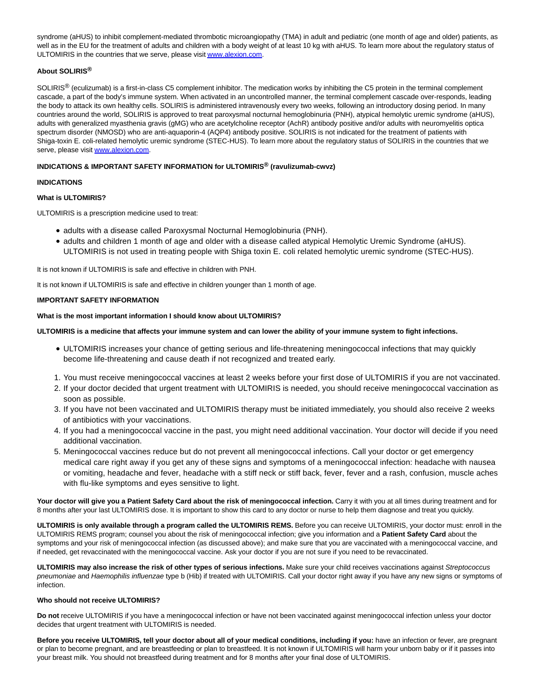syndrome (aHUS) to inhibit complement-mediated thrombotic microangiopathy (TMA) in adult and pediatric (one month of age and older) patients, as well as in the EU for the treatment of adults and children with a body weight of at least 10 kg with aHUS. To learn more about the regulatory status of ULTOMIRIS in the countries that we serve, please visi[t www.alexion.com.](https://cts.businesswire.com/ct/CT?id=smartlink&url=http%3A%2F%2Fwww.alexion.com&esheet=52427510&newsitemid=20210512005957&lan=en-US&anchor=www.alexion.com&index=3&md5=43318255622fad0430eefa710a56af19)

# **About SOLIRIS®**

SOLIRIS<sup>®</sup> (eculizumab) is a first-in-class C5 complement inhibitor. The medication works by inhibiting the C5 protein in the terminal complement cascade, a part of the body's immune system. When activated in an uncontrolled manner, the terminal complement cascade over-responds, leading the body to attack its own healthy cells. SOLIRIS is administered intravenously every two weeks, following an introductory dosing period. In many countries around the world, SOLIRIS is approved to treat paroxysmal nocturnal hemoglobinuria (PNH), atypical hemolytic uremic syndrome (aHUS), adults with generalized myasthenia gravis (gMG) who are acetylcholine receptor (AchR) antibody positive and/or adults with neuromyelitis optica spectrum disorder (NMOSD) who are anti-aquaporin-4 (AQP4) antibody positive. SOLIRIS is not indicated for the treatment of patients with Shiga-toxin E. coli-related hemolytic uremic syndrome (STEC-HUS). To learn more about the regulatory status of SOLIRIS in the countries that we serve, please visi[t www.alexion.com.](https://cts.businesswire.com/ct/CT?id=smartlink&url=http%3A%2F%2Fwww.alexion.com&esheet=52427510&newsitemid=20210512005957&lan=en-US&anchor=www.alexion.com&index=4&md5=5eeddedf739384e06946aa9611f985ae)

# **INDICATIONS & IMPORTANT SAFETY INFORMATION for ULTOMIRIS® (ravulizumab-cwvz)**

# **INDICATIONS**

# **What is ULTOMIRIS?**

ULTOMIRIS is a prescription medicine used to treat:

- adults with a disease called Paroxysmal Nocturnal Hemoglobinuria (PNH).
- adults and children 1 month of age and older with a disease called atypical Hemolytic Uremic Syndrome (aHUS). ULTOMIRIS is not used in treating people with Shiga toxin E. coli related hemolytic uremic syndrome (STEC-HUS).

It is not known if ULTOMIRIS is safe and effective in children with PNH.

It is not known if ULTOMIRIS is safe and effective in children younger than 1 month of age.

# **IMPORTANT SAFETY INFORMATION**

# **What is the most important information I should know about ULTOMIRIS?**

# **ULTOMIRIS is a medicine that affects your immune system and can lower the ability of your immune system to fight infections.**

- ULTOMIRIS increases your chance of getting serious and life-threatening meningococcal infections that may quickly become life-threatening and cause death if not recognized and treated early.
- 1. You must receive meningococcal vaccines at least 2 weeks before your first dose of ULTOMIRIS if you are not vaccinated.
- 2. If your doctor decided that urgent treatment with ULTOMIRIS is needed, you should receive meningococcal vaccination as soon as possible.
- If you have not been vaccinated and ULTOMIRIS therapy must be initiated immediately, you should also receive 2 weeks 3. of antibiotics with your vaccinations.
- 4. If you had a meningococcal vaccine in the past, you might need additional vaccination. Your doctor will decide if you need additional vaccination.
- 5. Meningococcal vaccines reduce but do not prevent all meningococcal infections. Call your doctor or get emergency medical care right away if you get any of these signs and symptoms of a meningococcal infection: headache with nausea or vomiting, headache and fever, headache with a stiff neck or stiff back, fever, fever and a rash, confusion, muscle aches with flu-like symptoms and eyes sensitive to light.

Your doctor will give you a Patient Safety Card about the risk of meningococcal infection. Carry it with you at all times during treatment and for 8 months after your last ULTOMIRIS dose. It is important to show this card to any doctor or nurse to help them diagnose and treat you quickly.

**ULTOMIRIS is only available through a program called the ULTOMIRIS REMS.** Before you can receive ULTOMIRIS, your doctor must: enroll in the ULTOMIRIS REMS program; counsel you about the risk of meningococcal infection; give you information and a **Patient Safety Card** about the symptoms and your risk of meningococcal infection (as discussed above); and make sure that you are vaccinated with a meningococcal vaccine, and if needed, get revaccinated with the meningococcal vaccine. Ask your doctor if you are not sure if you need to be revaccinated.

**ULTOMIRIS may also increase the risk of other types of serious infections.** Make sure your child receives vaccinations against Streptococcus pneumoniae and Haemophilis influenzae type b (Hib) if treated with ULTOMIRIS. Call your doctor right away if you have any new signs or symptoms of infection.

# **Who should not receive ULTOMIRIS?**

**Do not** receive ULTOMIRIS if you have a meningococcal infection or have not been vaccinated against meningococcal infection unless your doctor decides that urgent treatment with ULTOMIRIS is needed.

**Before you receive ULTOMIRIS, tell your doctor about all of your medical conditions, including if you:** have an infection or fever, are pregnant or plan to become pregnant, and are breastfeeding or plan to breastfeed. It is not known if ULTOMIRIS will harm your unborn baby or if it passes into your breast milk. You should not breastfeed during treatment and for 8 months after your final dose of ULTOMIRIS.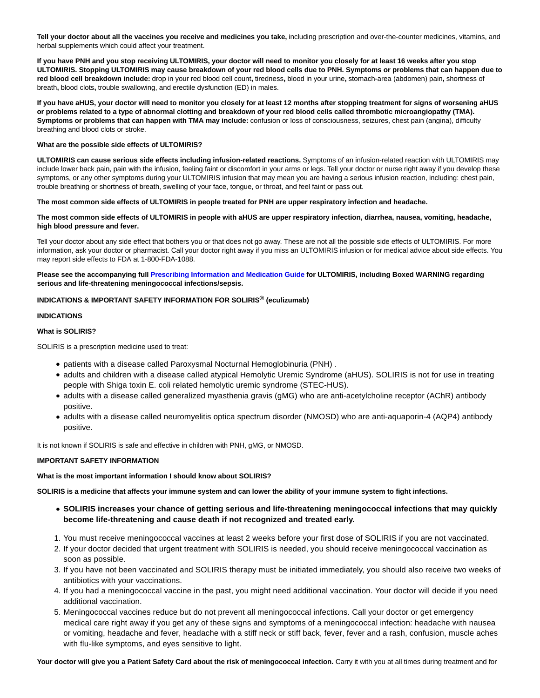**Tell your doctor about all the vaccines you receive and medicines you take,** including prescription and over-the-counter medicines, vitamins, and herbal supplements which could affect your treatment.

**If you have PNH and you stop receiving ULTOMIRIS, your doctor will need to monitor you closely for at least 16 weeks after you stop ULTOMIRIS. Stopping ULTOMIRIS may cause breakdown of your red blood cells due to PNH. Symptoms or problems that can happen due to red blood cell breakdown include:** drop in your red blood cell count**,** tiredness**,** blood in your urine**,** stomach-area (abdomen) pain**,** shortness of breath**,** blood clots**,** trouble swallowing, and erectile dysfunction (ED) in males.

**If you have aHUS, your doctor will need to monitor you closely for at least 12 months after stopping treatment for signs of worsening aHUS or problems related to a type of abnormal clotting and breakdown of your red blood cells called thrombotic microangiopathy (TMA). Symptoms or problems that can happen with TMA may include:** confusion or loss of consciousness, seizures, chest pain (angina), difficulty breathing and blood clots or stroke.

# **What are the possible side effects of ULTOMIRIS?**

**ULTOMIRIS can cause serious side effects including infusion-related reactions.** Symptoms of an infusion-related reaction with ULTOMIRIS may include lower back pain, pain with the infusion, feeling faint or discomfort in your arms or legs. Tell your doctor or nurse right away if you develop these symptoms, or any other symptoms during your ULTOMIRIS infusion that may mean you are having a serious infusion reaction, including: chest pain, trouble breathing or shortness of breath, swelling of your face, tongue, or throat, and feel faint or pass out.

#### **The most common side effects of ULTOMIRIS in people treated for PNH are upper respiratory infection and headache.**

## **The most common side effects of ULTOMIRIS in people with aHUS are upper respiratory infection, diarrhea, nausea, vomiting, headache, high blood pressure and fever.**

Tell your doctor about any side effect that bothers you or that does not go away. These are not all the possible side effects of ULTOMIRIS. For more information, ask your doctor or pharmacist. Call your doctor right away if you miss an ULTOMIRIS infusion or for medical advice about side effects. You may report side effects to FDA at 1-800-FDA-1088.

# **Please see the accompanying full [Prescribing Information and Medication Guide f](https://cts.businesswire.com/ct/CT?id=smartlink&url=https%3A%2F%2Falexion.com%2FDocuments%2FUltomiris_USPI.aspx&esheet=52427510&newsitemid=20210512005957&lan=en-US&anchor=Prescribing+Information+and+Medication+Guide&index=5&md5=097fcefc4c3f44224d3848a57fa8b175)or ULTOMIRIS, including Boxed WARNING regarding serious and life-threatening meningococcal infections/sepsis.**

## **INDICATIONS & IMPORTANT SAFETY INFORMATION FOR SOLIRIS® (eculizumab)**

## **INDICATIONS**

## **What is SOLIRIS?**

SOLIRIS is a prescription medicine used to treat:

- patients with a disease called Paroxysmal Nocturnal Hemoglobinuria (PNH) .
- adults and children with a disease called atypical Hemolytic Uremic Syndrome (aHUS). SOLIRIS is not for use in treating people with Shiga toxin E. coli related hemolytic uremic syndrome (STEC-HUS).
- adults with a disease called generalized myasthenia gravis (gMG) who are anti-acetylcholine receptor (AChR) antibody positive.
- adults with a disease called neuromyelitis optica spectrum disorder (NMOSD) who are anti-aquaporin-4 (AQP4) antibody positive.

It is not known if SOLIRIS is safe and effective in children with PNH, gMG, or NMOSD.

# **IMPORTANT SAFETY INFORMATION**

## **What is the most important information I should know about SOLIRIS?**

**SOLIRIS is a medicine that affects your immune system and can lower the ability of your immune system to fight infections.**

- **SOLIRIS increases your chance of getting serious and life-threatening meningococcal infections that may quickly become life-threatening and cause death if not recognized and treated early.**
- 1. You must receive meningococcal vaccines at least 2 weeks before your first dose of SOLIRIS if you are not vaccinated.
- 2. If your doctor decided that urgent treatment with SOLIRIS is needed, you should receive meningococcal vaccination as soon as possible.
- If you have not been vaccinated and SOLIRIS therapy must be initiated immediately, you should also receive two weeks of 3. antibiotics with your vaccinations.
- 4. If you had a meningococcal vaccine in the past, you might need additional vaccination. Your doctor will decide if you need additional vaccination.
- 5. Meningococcal vaccines reduce but do not prevent all meningococcal infections. Call your doctor or get emergency medical care right away if you get any of these signs and symptoms of a meningococcal infection: headache with nausea or vomiting, headache and fever, headache with a stiff neck or stiff back, fever, fever and a rash, confusion, muscle aches with flu-like symptoms, and eyes sensitive to light.

Your doctor will give you a Patient Safety Card about the risk of meningococcal infection. Carry it with you at all times during treatment and for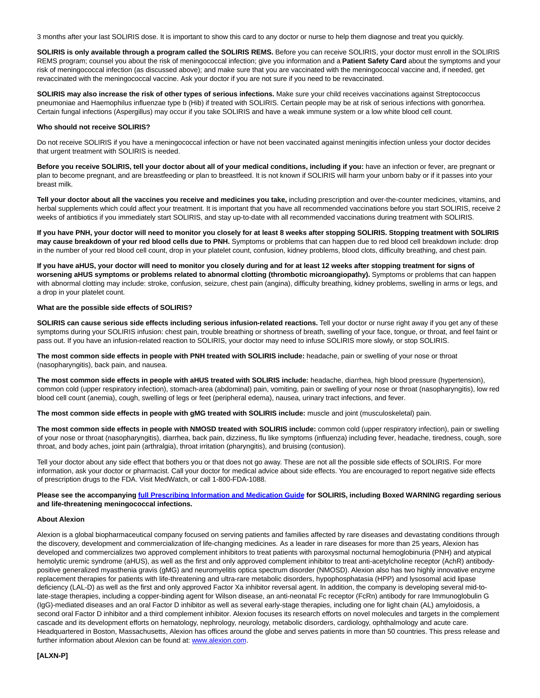3 months after your last SOLIRIS dose. It is important to show this card to any doctor or nurse to help them diagnose and treat you quickly.

**SOLIRIS is only available through a program called the SOLIRIS REMS.** Before you can receive SOLIRIS, your doctor must enroll in the SOLIRIS REMS program; counsel you about the risk of meningococcal infection; give you information and a **Patient Safety Card** about the symptoms and your risk of meningococcal infection (as discussed above); and make sure that you are vaccinated with the meningococcal vaccine and, if needed, get revaccinated with the meningococcal vaccine. Ask your doctor if you are not sure if you need to be revaccinated.

**SOLIRIS may also increase the risk of other types of serious infections.** Make sure your child receives vaccinations against Streptococcus pneumoniae and Haemophilus influenzae type b (Hib) if treated with SOLIRIS. Certain people may be at risk of serious infections with gonorrhea. Certain fungal infections (Aspergillus) may occur if you take SOLIRIS and have a weak immune system or a low white blood cell count.

## **Who should not receive SOLIRIS?**

Do not receive SOLIRIS if you have a meningococcal infection or have not been vaccinated against meningitis infection unless your doctor decides that urgent treatment with SOLIRIS is needed.

**Before you receive SOLIRIS, tell your doctor about all of your medical conditions, including if you:** have an infection or fever, are pregnant or plan to become pregnant, and are breastfeeding or plan to breastfeed. It is not known if SOLIRIS will harm your unborn baby or if it passes into your breast milk.

**Tell your doctor about all the vaccines you receive and medicines you take,** including prescription and over-the-counter medicines, vitamins, and herbal supplements which could affect your treatment. It is important that you have all recommended vaccinations before you start SOLIRIS, receive 2 weeks of antibiotics if you immediately start SOLIRIS, and stay up-to-date with all recommended vaccinations during treatment with SOLIRIS.

**If you have PNH, your doctor will need to monitor you closely for at least 8 weeks after stopping SOLIRIS. Stopping treatment with SOLIRIS may cause breakdown of your red blood cells due to PNH.** Symptoms or problems that can happen due to red blood cell breakdown include: drop in the number of your red blood cell count, drop in your platelet count, confusion, kidney problems, blood clots, difficulty breathing, and chest pain.

**If you have aHUS, your doctor will need to monitor you closely during and for at least 12 weeks after stopping treatment for signs of worsening aHUS symptoms or problems related to abnormal clotting (thrombotic microangiopathy).** Symptoms or problems that can happen with abnormal clotting may include: stroke, confusion, seizure, chest pain (angina), difficulty breathing, kidney problems, swelling in arms or legs, and a drop in your platelet count.

#### **What are the possible side effects of SOLIRIS?**

**SOLIRIS can cause serious side effects including serious infusion-related reactions.** Tell your doctor or nurse right away if you get any of these symptoms during your SOLIRIS infusion: chest pain, trouble breathing or shortness of breath, swelling of your face, tongue, or throat, and feel faint or pass out. If you have an infusion-related reaction to SOLIRIS, your doctor may need to infuse SOLIRIS more slowly, or stop SOLIRIS.

**The most common side effects in people with PNH treated with SOLIRIS include:** headache, pain or swelling of your nose or throat (nasopharyngitis), back pain, and nausea.

**The most common side effects in people with aHUS treated with SOLIRIS include:** headache, diarrhea, high blood pressure (hypertension), common cold (upper respiratory infection), stomach-area (abdominal) pain, vomiting, pain or swelling of your nose or throat (nasopharyngitis), low red blood cell count (anemia), cough, swelling of legs or feet (peripheral edema), nausea, urinary tract infections, and fever.

**The most common side effects in people with gMG treated with SOLIRIS include:** muscle and joint (musculoskeletal) pain.

**The most common side effects in people with NMOSD treated with SOLIRIS include:** common cold (upper respiratory infection), pain or swelling of your nose or throat (nasopharyngitis), diarrhea, back pain, dizziness, flu like symptoms (influenza) including fever, headache, tiredness, cough, sore throat, and body aches, joint pain (arthralgia), throat irritation (pharyngitis), and bruising (contusion).

Tell your doctor about any side effect that bothers you or that does not go away. These are not all the possible side effects of SOLIRIS. For more information, ask your doctor or pharmacist. Call your doctor for medical advice about side effects. You are encouraged to report negative side effects of prescription drugs to the FDA. Visit MedWatch, or call 1-800-FDA-1088.

**Please see the accompanying [full Prescribing Information and Medication Guide f](https://cts.businesswire.com/ct/CT?id=smartlink&url=https%3A%2F%2Falexion.com%2Fdocuments%2Fsoliris_uspi&esheet=52427510&newsitemid=20210512005957&lan=en-US&anchor=full+Prescribing+Information+and+Medication+Guide&index=6&md5=b6d19f80789fa13a9e5b9c40a88abb0c)or SOLIRIS, including Boxed WARNING regarding serious and life-threatening meningococcal infections.**

#### **About Alexion**

Alexion is a global biopharmaceutical company focused on serving patients and families affected by rare diseases and devastating conditions through the discovery, development and commercialization of life-changing medicines. As a leader in rare diseases for more than 25 years, Alexion has developed and commercializes two approved complement inhibitors to treat patients with paroxysmal nocturnal hemoglobinuria (PNH) and atypical hemolytic uremic syndrome (aHUS), as well as the first and only approved complement inhibitor to treat anti-acetylcholine receptor (AchR) antibodypositive generalized myasthenia gravis (gMG) and neuromyelitis optica spectrum disorder (NMOSD). Alexion also has two highly innovative enzyme replacement therapies for patients with life-threatening and ultra-rare metabolic disorders, hypophosphatasia (HPP) and lysosomal acid lipase deficiency (LAL-D) as well as the first and only approved Factor Xa inhibitor reversal agent. In addition, the company is developing several mid-tolate-stage therapies, including a copper-binding agent for Wilson disease, an anti-neonatal Fc receptor (FcRn) antibody for rare Immunoglobulin G (IgG)-mediated diseases and an oral Factor D inhibitor as well as several early-stage therapies, including one for light chain (AL) amyloidosis, a second oral Factor D inhibitor and a third complement inhibitor. Alexion focuses its research efforts on novel molecules and targets in the complement cascade and its development efforts on hematology, nephrology, neurology, metabolic disorders, cardiology, ophthalmology and acute care. Headquartered in Boston, Massachusetts, Alexion has offices around the globe and serves patients in more than 50 countries. This press release and further information about Alexion can be found at: [www.alexion.com.](https://cts.businesswire.com/ct/CT?id=smartlink&url=http%3A%2F%2Fwww.alexion.com&esheet=52427510&newsitemid=20210512005957&lan=en-US&anchor=www.alexion.com&index=7&md5=58115458121c1c5d4c1d6584b9331306)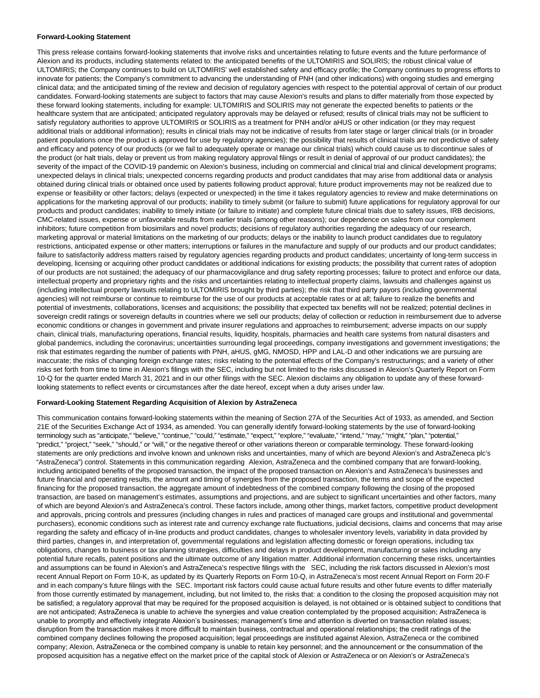#### **Forward-Looking Statement**

This press release contains forward-looking statements that involve risks and uncertainties relating to future events and the future performance of Alexion and its products, including statements related to: the anticipated benefits of the ULTOMIRIS and SOLIRIS; the robust clinical value of ULTOMIRIS; the Company continues to build on ULTOMIRIS' well established safety and efficacy profile; the Company continues to progress efforts to innovate for patients; the Company's commitment to advancing the understanding of PNH (and other indications) with ongoing studies and emerging clinical data; and the anticipated timing of the review and decision of regulatory agencies with respect to the potential approval of certain of our product candidates. Forward-looking statements are subject to factors that may cause Alexion's results and plans to differ materially from those expected by these forward looking statements, including for example: ULTOMIRIS and SOLIRIS may not generate the expected benefits to patients or the healthcare system that are anticipated; anticipated regulatory approvals may be delayed or refused; results of clinical trials may not be sufficient to satisfy regulatory authorities to approve ULTOMIRIS or SOLIRIS as a treatment for PNH and/or aHUS or other indication (or they may request additional trials or additional information); results in clinical trials may not be indicative of results from later stage or larger clinical trials (or in broader patient populations once the product is approved for use by regulatory agencies); the possibility that results of clinical trials are not predictive of safety and efficacy and potency of our products (or we fail to adequately operate or manage our clinical trials) which could cause us to discontinue sales of the product (or halt trials, delay or prevent us from making regulatory approval filings or result in denial of approval of our product candidates); the severity of the impact of the COVID-19 pandemic on Alexion's business, including on commercial and clinical trial and clinical development programs; unexpected delays in clinical trials; unexpected concerns regarding products and product candidates that may arise from additional data or analysis obtained during clinical trials or obtained once used by patients following product approval; future product improvements may not be realized due to expense or feasibility or other factors; delays (expected or unexpected) in the time it takes regulatory agencies to review and make determinations on applications for the marketing approval of our products; inability to timely submit (or failure to submit) future applications for regulatory approval for our products and product candidates; inability to timely initiate (or failure to initiate) and complete future clinical trials due to safety issues, IRB decisions, CMC-related issues, expense or unfavorable results from earlier trials (among other reasons); our dependence on sales from our complement inhibitors; future competition from biosimilars and novel products; decisions of regulatory authorities regarding the adequacy of our research, marketing approval or material limitations on the marketing of our products; delays or the inability to launch product candidates due to regulatory restrictions, anticipated expense or other matters; interruptions or failures in the manufacture and supply of our products and our product candidates; failure to satisfactorily address matters raised by regulatory agencies regarding products and product candidates; uncertainty of long-term success in developing, licensing or acquiring other product candidates or additional indications for existing products; the possibility that current rates of adoption of our products are not sustained; the adequacy of our pharmacovigilance and drug safety reporting processes; failure to protect and enforce our data, intellectual property and proprietary rights and the risks and uncertainties relating to intellectual property claims, lawsuits and challenges against us (including intellectual property lawsuits relating to ULTOMIRIS brought by third parties); the risk that third party payors (including governmental agencies) will not reimburse or continue to reimburse for the use of our products at acceptable rates or at all; failure to realize the benefits and potential of investments, collaborations, licenses and acquisitions; the possibility that expected tax benefits will not be realized; potential declines in sovereign credit ratings or sovereign defaults in countries where we sell our products; delay of collection or reduction in reimbursement due to adverse economic conditions or changes in government and private insurer regulations and approaches to reimbursement; adverse impacts on our supply chain, clinical trials, manufacturing operations, financial results, liquidity, hospitals, pharmacies and health care systems from natural disasters and global pandemics, including the coronavirus; uncertainties surrounding legal proceedings, company investigations and government investigations; the risk that estimates regarding the number of patients with PNH, aHUS, gMG, NMOSD, HPP and LAL-D and other indications we are pursuing are inaccurate; the risks of changing foreign exchange rates; risks relating to the potential effects of the Company's restructurings; and a variety of other risks set forth from time to time in Alexion's filings with the SEC, including but not limited to the risks discussed in Alexion's Quarterly Report on Form 10-Q for the quarter ended March 31, 2021 and in our other filings with the SEC. Alexion disclaims any obligation to update any of these forwardlooking statements to reflect events or circumstances after the date hereof, except when a duty arises under law.

#### **Forward-Looking Statement Regarding Acquisition of Alexion by AstraZeneca**

This communication contains forward-looking statements within the meaning of Section 27A of the Securities Act of 1933, as amended, and Section 21E of the Securities Exchange Act of 1934, as amended. You can generally identify forward-looking statements by the use of forward-looking terminology such as "anticipate," "believe," "continue," "could," "estimate," "expect," "explore," "evaluate," "intend," "may," "might," "plan," "potential," "predict," "project," "seek," "should," or "will," or the negative thereof or other variations thereon or comparable terminology. These forward-looking statements are only predictions and involve known and unknown risks and uncertainties, many of which are beyond Alexion's and AstraZeneca plc's "AstraZeneca") control. Statements in this communication regarding Alexion, AstraZeneca and the combined company that are forward-looking, including anticipated benefits of the proposed transaction, the impact of the proposed transaction on Alexion's and AstraZeneca's businesses and future financial and operating results, the amount and timing of synergies from the proposed transaction, the terms and scope of the expected financing for the proposed transaction, the aggregate amount of indebtedness of the combined company following the closing of the proposed transaction, are based on management's estimates, assumptions and projections, and are subject to significant uncertainties and other factors, many of which are beyond Alexion's and AstraZeneca's control. These factors include, among other things, market factors, competitive product development and approvals, pricing controls and pressures (including changes in rules and practices of managed care groups and institutional and governmental purchasers), economic conditions such as interest rate and currency exchange rate fluctuations, judicial decisions, claims and concerns that may arise regarding the safety and efficacy of in-line products and product candidates, changes to wholesaler inventory levels, variability in data provided by third parties, changes in, and interpretation of, governmental regulations and legislation affecting domestic or foreign operations, including tax obligations, changes to business or tax planning strategies, difficulties and delays in product development, manufacturing or sales including any potential future recalls, patent positions and the ultimate outcome of any litigation matter. Additional information concerning these risks, uncertainties and assumptions can be found in Alexion's and AstraZeneca's respective filings with the SEC, including the risk factors discussed in Alexion's most recent Annual Report on Form 10-K, as updated by its Quarterly Reports on Form 10-Q, in AstraZeneca's most recent Annual Report on Form 20-F and in each company's future filings with the SEC. Important risk factors could cause actual future results and other future events to differ materially from those currently estimated by management, including, but not limited to, the risks that: a condition to the closing the proposed acquisition may not be satisfied; a regulatory approval that may be required for the proposed acquisition is delayed, is not obtained or is obtained subject to conditions that are not anticipated; AstraZeneca is unable to achieve the synergies and value creation contemplated by the proposed acquisition; AstraZeneca is unable to promptly and effectively integrate Alexion's businesses; management's time and attention is diverted on transaction related issues; disruption from the transaction makes it more difficult to maintain business, contractual and operational relationships; the credit ratings of the combined company declines following the proposed acquisition; legal proceedings are instituted against Alexion, AstraZeneca or the combined company; Alexion, AstraZeneca or the combined company is unable to retain key personnel; and the announcement or the consummation of the proposed acquisition has a negative effect on the market price of the capital stock of Alexion or AstraZeneca or on Alexion's or AstraZeneca's